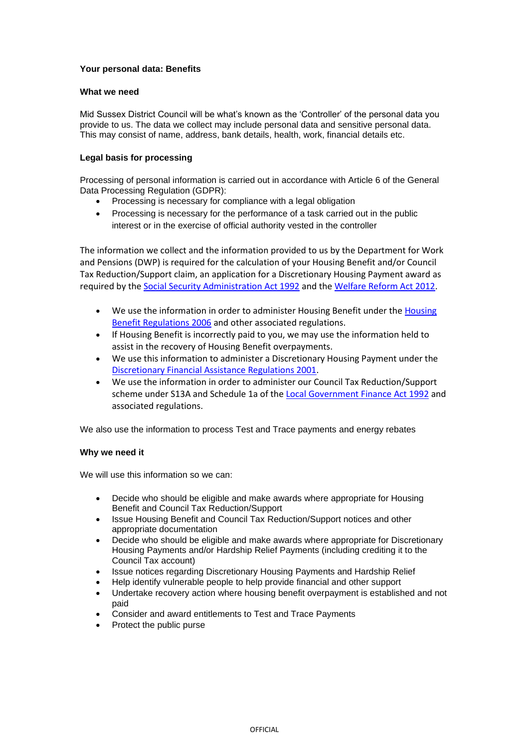# **Your personal data: Benefits**

### **What we need**

Mid Sussex District Council will be what's known as the 'Controller' of the personal data you provide to us. The data we collect may include personal data and sensitive personal data. This may consist of name, address, bank details, health, work, financial details etc.

# **Legal basis for processing**

Processing of personal information is carried out in accordance with Article 6 of the General Data Processing Regulation (GDPR):

- Processing is necessary for compliance with a legal obligation
- Processing is necessary for the performance of a task carried out in the public interest or in the exercise of official authority vested in the controller

The information we collect and the information provided to us by the Department for Work and Pensions (DWP) is required for the calculation of your Housing Benefit and/or Council Tax Reduction/Support claim, an application for a Discretionary Housing Payment award as required by th[e Social Security Administration Act 1992](https://eur02.safelinks.protection.outlook.com/?url=http%3A%2F%2Fwww.legislation.gov.uk%2Fukpga%2F1992%2F5%2Fcontents%2Fenacted&data=04%7C01%7CSheila.Harris%40midsussex.gov.uk%7Cda0d21c609064d3334b608d8cbfe0c7d%7C248de4f9d13548cca4c8babd7e9e8703%7C0%7C0%7C637483639277472130%7CUnknown%7CTWFpbGZsb3d8eyJWIjoiMC4wLjAwMDAiLCJQIjoiV2luMzIiLCJBTiI6Ik1haWwiLCJXVCI6Mn0%3D%7C1000&sdata=RY4pXdz8VtHfX3YYQueEg9iJXAXPCno%2FPYXRq71FWOg%3D&reserved=0) and th[e Welfare Reform Act 2012.](https://eur02.safelinks.protection.outlook.com/?url=http%3A%2F%2Fwww.legislation.gov.uk%2Fukpga%2F2012%2F5%2Fcontents%2Fenacted&data=04%7C01%7CSheila.Harris%40midsussex.gov.uk%7Cda0d21c609064d3334b608d8cbfe0c7d%7C248de4f9d13548cca4c8babd7e9e8703%7C0%7C0%7C637483639277482121%7CUnknown%7CTWFpbGZsb3d8eyJWIjoiMC4wLjAwMDAiLCJQIjoiV2luMzIiLCJBTiI6Ik1haWwiLCJXVCI6Mn0%3D%7C1000&sdata=CcoG%2F4Dy0V4eBr965uogloOoQNXyggHVYC%2B3w3IbRu8%3D&reserved=0)

- We use the information in order to administer [Housing](https://eur02.safelinks.protection.outlook.com/?url=http%3A%2F%2Fwww.legislation.gov.uk%2Fuksi%2F2006%2F213%2Fcontents%2Fmade&data=04%7C01%7CSheila.Harris%40midsussex.gov.uk%7Cda0d21c609064d3334b608d8cbfe0c7d%7C248de4f9d13548cca4c8babd7e9e8703%7C0%7C0%7C637483639277482121%7CUnknown%7CTWFpbGZsb3d8eyJWIjoiMC4wLjAwMDAiLCJQIjoiV2luMzIiLCJBTiI6Ik1haWwiLCJXVCI6Mn0%3D%7C1000&sdata=Q8y2K9ZAGojj%2F5s4uuytF6cDFYvarHVXjLo1FyKzuk8%3D&reserved=0) Benefit under the Housing [Benefit Regulations 2006](https://eur02.safelinks.protection.outlook.com/?url=http%3A%2F%2Fwww.legislation.gov.uk%2Fuksi%2F2006%2F213%2Fcontents%2Fmade&data=04%7C01%7CSheila.Harris%40midsussex.gov.uk%7Cda0d21c609064d3334b608d8cbfe0c7d%7C248de4f9d13548cca4c8babd7e9e8703%7C0%7C0%7C637483639277482121%7CUnknown%7CTWFpbGZsb3d8eyJWIjoiMC4wLjAwMDAiLCJQIjoiV2luMzIiLCJBTiI6Ik1haWwiLCJXVCI6Mn0%3D%7C1000&sdata=Q8y2K9ZAGojj%2F5s4uuytF6cDFYvarHVXjLo1FyKzuk8%3D&reserved=0) and other associated regulations.
- If Housing Benefit is incorrectly paid to you, we may use the information held to assist in the recovery of Housing Benefit overpayments.
- We use this information to administer a Discretionary Housing Payment under the [Discretionary Financial Assistance Regulations 2001.](https://eur02.safelinks.protection.outlook.com/?url=http%3A%2F%2Fwww.legislation.gov.uk%2Fuksi%2F2001%2F1167%2Fcontents%2Fmade&data=04%7C01%7CSheila.Harris%40midsussex.gov.uk%7Cda0d21c609064d3334b608d8cbfe0c7d%7C248de4f9d13548cca4c8babd7e9e8703%7C0%7C0%7C637483639277492125%7CUnknown%7CTWFpbGZsb3d8eyJWIjoiMC4wLjAwMDAiLCJQIjoiV2luMzIiLCJBTiI6Ik1haWwiLCJXVCI6Mn0%3D%7C1000&sdata=PAF%2FLQOVx5Dz2BQEKP%2Bi3g8J9e2oYSwppU8h92Erev0%3D&reserved=0)
- We use the information in order to administer our Council Tax Reduction/Support scheme under S13A and Schedule 1a of the [Local Government Finance Act 1992](https://eur02.safelinks.protection.outlook.com/?url=http%3A%2F%2Fwww.legislation.gov.uk%2Fukpga%2F1992%2F14%2Fcontents&data=04%7C01%7CSheila.Harris%40midsussex.gov.uk%7Cda0d21c609064d3334b608d8cbfe0c7d%7C248de4f9d13548cca4c8babd7e9e8703%7C0%7C0%7C637483639277492125%7CUnknown%7CTWFpbGZsb3d8eyJWIjoiMC4wLjAwMDAiLCJQIjoiV2luMzIiLCJBTiI6Ik1haWwiLCJXVCI6Mn0%3D%7C1000&sdata=wiXumfNiHpHBHDN8Y0ZFlz5%2F6lNA3SIF%2F4o0DLdh6GY%3D&reserved=0) and associated regulations.

We also use the information to process Test and Trace payments and energy rebates

# **Why we need it**

We will use this information so we can:

- Decide who should be eligible and make awards where appropriate for Housing Benefit and Council Tax Reduction/Support
- Issue Housing Benefit and Council Tax Reduction/Support notices and other appropriate documentation
- Decide who should be eligible and make awards where appropriate for Discretionary Housing Payments and/or Hardship Relief Payments (including crediting it to the Council Tax account)
- Issue notices regarding Discretionary Housing Payments and Hardship Relief
- Help identify vulnerable people to help provide financial and other support
- Undertake recovery action where housing benefit overpayment is established and not paid
- Consider and award entitlements to Test and Trace Payments
- Protect the public purse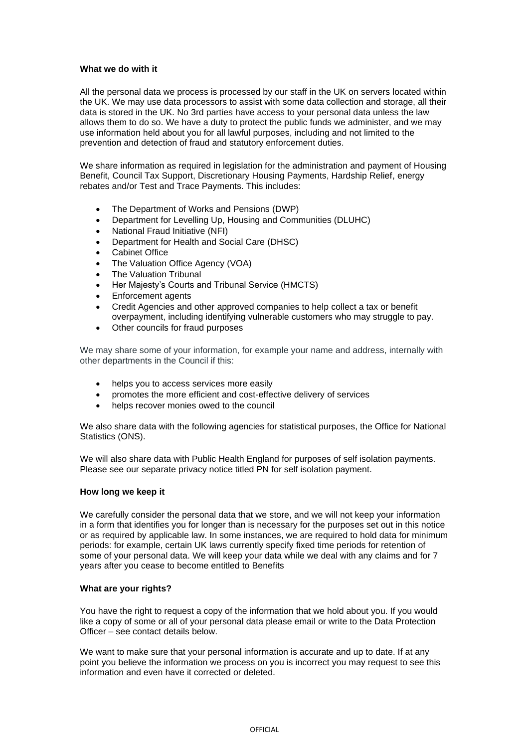### **What we do with it**

All the personal data we process is processed by our staff in the UK on servers located within the UK. We may use data processors to assist with some data collection and storage, all their data is stored in the UK. No 3rd parties have access to your personal data unless the law allows them to do so. We have a duty to protect the public funds we administer, and we may use information held about you for all lawful purposes, including and not limited to the prevention and detection of fraud and statutory enforcement duties.

We share information as required in legislation for the administration and payment of Housing Benefit, Council Tax Support, Discretionary Housing Payments, Hardship Relief, energy rebates and/or Test and Trace Payments. This includes:

- The Department of Works and Pensions (DWP)
- Department for Levelling Up, Housing and Communities (DLUHC)
- National Fraud Initiative (NFI)
- Department for Health and Social Care (DHSC)
- Cabinet Office
- The Valuation Office Agency (VOA)
- The Valuation Tribunal
- Her Majesty's Courts and Tribunal Service (HMCTS)
- Enforcement agents
- Credit Agencies and other approved companies to help collect a tax or benefit overpayment, including identifying vulnerable customers who may struggle to pay.
- Other councils for fraud purposes

We may share some of your information, for example your name and address, internally with other departments in the Council if this:

- helps you to access services more easily
- promotes the more efficient and cost-effective delivery of services
- helps recover monies owed to the council

We also share data with the following agencies for statistical purposes, the Office for National Statistics (ONS).

We will also share data with Public Health England for purposes of self isolation payments. Please see our separate privacy notice titled PN for self isolation payment.

### **How long we keep it**

We carefully consider the personal data that we store, and we will not keep your information in a form that identifies you for longer than is necessary for the purposes set out in this notice or as required by applicable law. In some instances, we are required to hold data for minimum periods: for example, certain UK laws currently specify fixed time periods for retention of some of your personal data. We will keep your data while we deal with any claims and for 7 years after you cease to become entitled to Benefits

### **What are your rights?**

You have the right to request a copy of the information that we hold about you. If you would like a copy of some or all of your personal data please email or write to the Data Protection Officer – see contact details below.

We want to make sure that your personal information is accurate and up to date. If at any point you believe the information we process on you is incorrect you may request to see this information and even have it corrected or deleted.